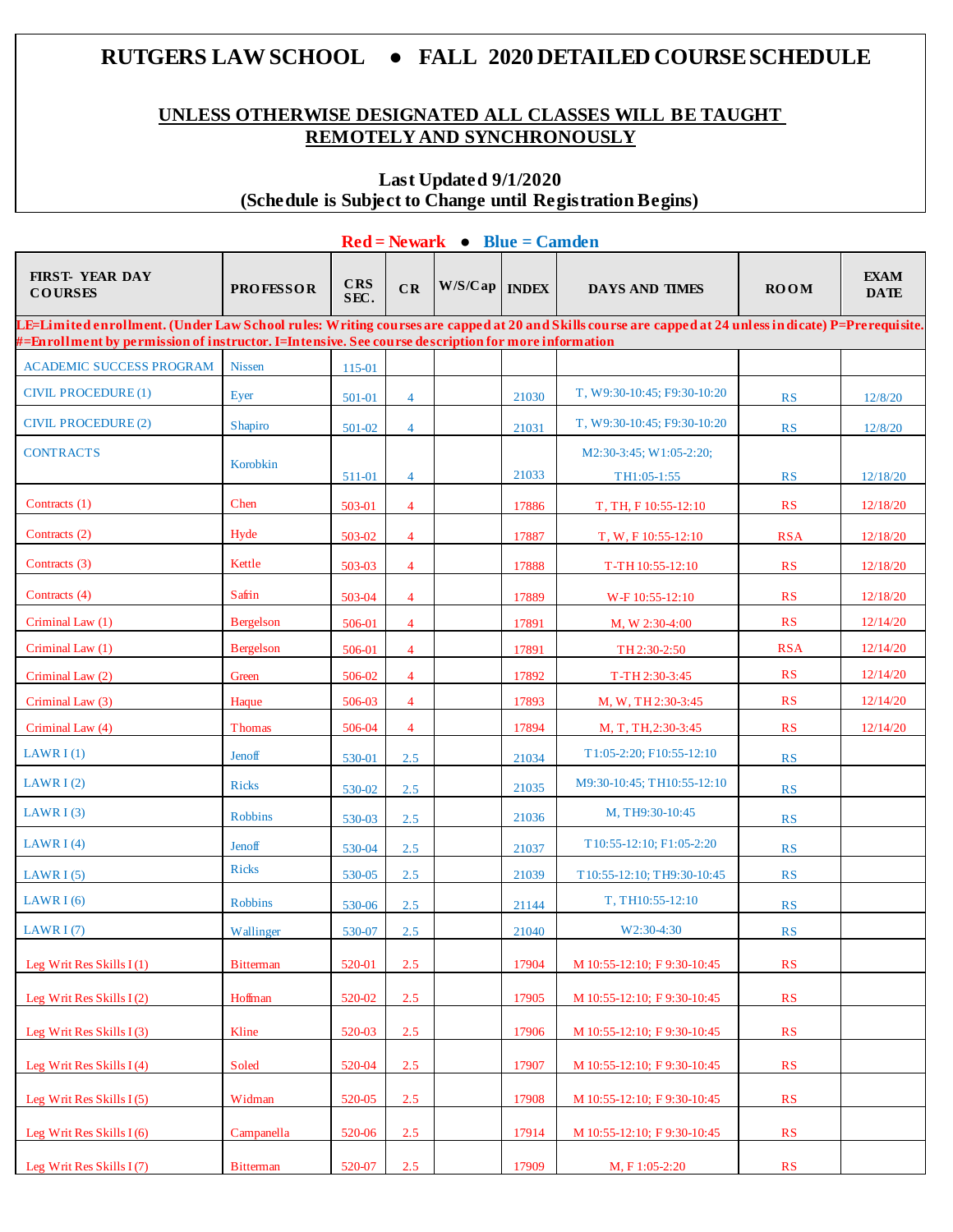# **RUTGERS LAW SCHOOL ● FALL 2020 DETAILED COURSESCHEDULE**

## **UNLESS OTHERWISE DESIGNATED ALL CLASSES WILL BE TAUGHT REMOTELY AND SYNCHRONOUSLY**

## **Last Updated 9/1/2020 (Schedule is Subject to Change until Registration Begins)**

|                                                                                                                                                                                                                                                             | $\text{Red} = \text{Newark} \bullet \text{Blue} = \text{Camden}$ |                    |                |                 |       |                                        |                        |                            |  |  |  |  |  |
|-------------------------------------------------------------------------------------------------------------------------------------------------------------------------------------------------------------------------------------------------------------|------------------------------------------------------------------|--------------------|----------------|-----------------|-------|----------------------------------------|------------------------|----------------------------|--|--|--|--|--|
| <b>FIRST- YEAR DAY</b><br><b>COURSES</b>                                                                                                                                                                                                                    | <b>PROFESSOR</b>                                                 | <b>CRS</b><br>SEC. | CR             | W/S/Cap   INDEX |       | <b>DAYS AND TIMES</b>                  | <b>ROOM</b>            | <b>EXAM</b><br><b>DATE</b> |  |  |  |  |  |
| LE=Limited enrollment. (Under Law School rules: Writing courses are capped at 20 and Skills course are capped at 24 unless in dicate) P=Prerequisite.<br>#=Enrollment by permission of instructor. I=Intensive. See course description for more information |                                                                  |                    |                |                 |       |                                        |                        |                            |  |  |  |  |  |
| <b>ACADEMIC SUCCESS PROGRAM</b>                                                                                                                                                                                                                             | <b>Nissen</b>                                                    | 115-01             |                |                 |       |                                        |                        |                            |  |  |  |  |  |
| CIVIL PROCEDURE (1)                                                                                                                                                                                                                                         | Eyer                                                             | 501-01             | $\overline{4}$ |                 | 21030 | T, W9:30-10:45; F9:30-10:20            | <b>RS</b>              | 12/8/20                    |  |  |  |  |  |
| <b>CIVIL PROCEDURE (2)</b>                                                                                                                                                                                                                                  | Shapiro                                                          | 501-02             | $\overline{4}$ |                 | 21031 | T, W9:30-10:45; F9:30-10:20            | <b>RS</b>              | 12/8/20                    |  |  |  |  |  |
| <b>CONTRACTS</b>                                                                                                                                                                                                                                            | Korobkin                                                         | 511-01             | $\overline{4}$ |                 | 21033 | M2:30-3:45; W1:05-2:20;<br>TH1:05-1:55 | <b>RS</b>              | 12/18/20                   |  |  |  |  |  |
| Contracts (1)                                                                                                                                                                                                                                               | Chen                                                             | 503-01             | $\overline{4}$ |                 | 17886 | T, TH, F 10:55-12:10                   | <b>RS</b>              | 12/18/20                   |  |  |  |  |  |
| Contracts (2)                                                                                                                                                                                                                                               | Hyde                                                             | 503-02             | $\overline{4}$ |                 | 17887 | T, W, F 10:55-12:10                    | <b>RSA</b>             | 12/18/20                   |  |  |  |  |  |
| Contracts (3)                                                                                                                                                                                                                                               | Kettle                                                           | 503-03             | $\overline{4}$ |                 | 17888 | T-TH 10:55-12:10                       | <b>RS</b>              | 12/18/20                   |  |  |  |  |  |
| Contracts (4)                                                                                                                                                                                                                                               | Safrin                                                           | 503-04             | $\overline{4}$ |                 | 17889 | W-F 10:55-12:10                        | <b>RS</b>              | 12/18/20                   |  |  |  |  |  |
| Criminal Law (1)                                                                                                                                                                                                                                            | <b>Bergelson</b>                                                 | 506-01             | $\overline{4}$ |                 | 17891 | M, W 2:30-4:00                         | <b>RS</b>              | 12/14/20                   |  |  |  |  |  |
| Criminal Law (1)                                                                                                                                                                                                                                            | <b>Bergelson</b>                                                 | 506-01             | $\overline{4}$ |                 | 17891 | TH 2:30-2:50                           | <b>RSA</b>             | 12/14/20                   |  |  |  |  |  |
| Criminal Law (2)                                                                                                                                                                                                                                            | Green                                                            | 506-02             | $\overline{4}$ |                 | 17892 | T-TH 2:30-3:45                         | <b>RS</b>              | 12/14/20                   |  |  |  |  |  |
| Criminal Law (3)                                                                                                                                                                                                                                            | Haque                                                            | 506-03             | $\overline{4}$ |                 | 17893 | M, W, TH 2:30-3:45                     | <b>RS</b>              | 12/14/20                   |  |  |  |  |  |
| Criminal Law (4)                                                                                                                                                                                                                                            | <b>Thomas</b>                                                    | 506-04             | $\overline{4}$ |                 | 17894 | M, T, TH, 2:30-3:45                    | RS                     | 12/14/20                   |  |  |  |  |  |
| LAWR $I(1)$                                                                                                                                                                                                                                                 | Jenoff                                                           | 530-01             | 2.5            |                 | 21034 | $T1:05-2:20; F10:55-12:10$             | <b>RS</b>              |                            |  |  |  |  |  |
| LAWR $I(2)$                                                                                                                                                                                                                                                 | <b>Ricks</b>                                                     | 530-02             | 2.5            |                 | 21035 | M9:30-10:45; TH10:55-12:10             | <b>RS</b>              |                            |  |  |  |  |  |
| LAWR $I(3)$                                                                                                                                                                                                                                                 | <b>Robbins</b>                                                   | 530-03             | 2.5            |                 | 21036 | M, TH9:30-10:45                        | <b>RS</b>              |                            |  |  |  |  |  |
| LAWR $I(4)$                                                                                                                                                                                                                                                 | Jenoff                                                           | 530-04             | 2.5            |                 | 21037 | T10:55-12:10; F1:05-2:20               | <b>RS</b>              |                            |  |  |  |  |  |
| LAWR $I(5)$                                                                                                                                                                                                                                                 | <b>Ricks</b>                                                     | 530-05             | 2.5            |                 | 21039 | T10:55-12:10; TH9:30-10:45             | <b>RS</b>              |                            |  |  |  |  |  |
| LAWR $I(6)$                                                                                                                                                                                                                                                 | <b>Robbins</b>                                                   | 530-06             | 2.5            |                 | 21144 | T, TH10:55-12:10                       | <b>RS</b>              |                            |  |  |  |  |  |
| LAWR $I(7)$                                                                                                                                                                                                                                                 | Wallinger                                                        | 530-07             | 2.5            |                 | 21040 | W2:30-4:30                             | <b>RS</b>              |                            |  |  |  |  |  |
| Leg Writ Res Skills I(1)                                                                                                                                                                                                                                    | <b>Bitterman</b>                                                 | 520-01             | 2.5            |                 | 17904 | M 10:55-12:10; F 9:30-10:45            | $\mathbf{R}\mathbf{S}$ |                            |  |  |  |  |  |
| Leg Writ Res Skills $I(2)$                                                                                                                                                                                                                                  | Hoffman                                                          | 520-02             | 2.5            |                 | 17905 | M 10:55-12:10; F 9:30-10:45            | RS                     |                            |  |  |  |  |  |
| Leg Writ Res Skills I (3)                                                                                                                                                                                                                                   | Kline                                                            | 520-03             | 2.5            |                 | 17906 | M 10:55-12:10; F 9:30-10:45            | RS                     |                            |  |  |  |  |  |
| Leg Writ Res Skills $I(4)$                                                                                                                                                                                                                                  | Soled                                                            | 520-04             | 2.5            |                 | 17907 | M 10:55-12:10; F 9:30-10:45            | RS                     |                            |  |  |  |  |  |
| Leg Writ Res Skills $I(5)$                                                                                                                                                                                                                                  | Widman                                                           | 520-05             | 2.5            |                 | 17908 | M 10:55-12:10; F 9:30-10:45            | RS                     |                            |  |  |  |  |  |
| Leg Writ Res Skills $I(6)$                                                                                                                                                                                                                                  | Campanella                                                       | 520-06             | 2.5            |                 | 17914 | M 10:55-12:10; F 9:30-10:45            | RS                     |                            |  |  |  |  |  |
| Leg Writ Res Skills I (7)                                                                                                                                                                                                                                   | <b>Bitterman</b>                                                 | 520-07             | 2.5            |                 | 17909 | M, F 1:05-2:20                         | RS                     |                            |  |  |  |  |  |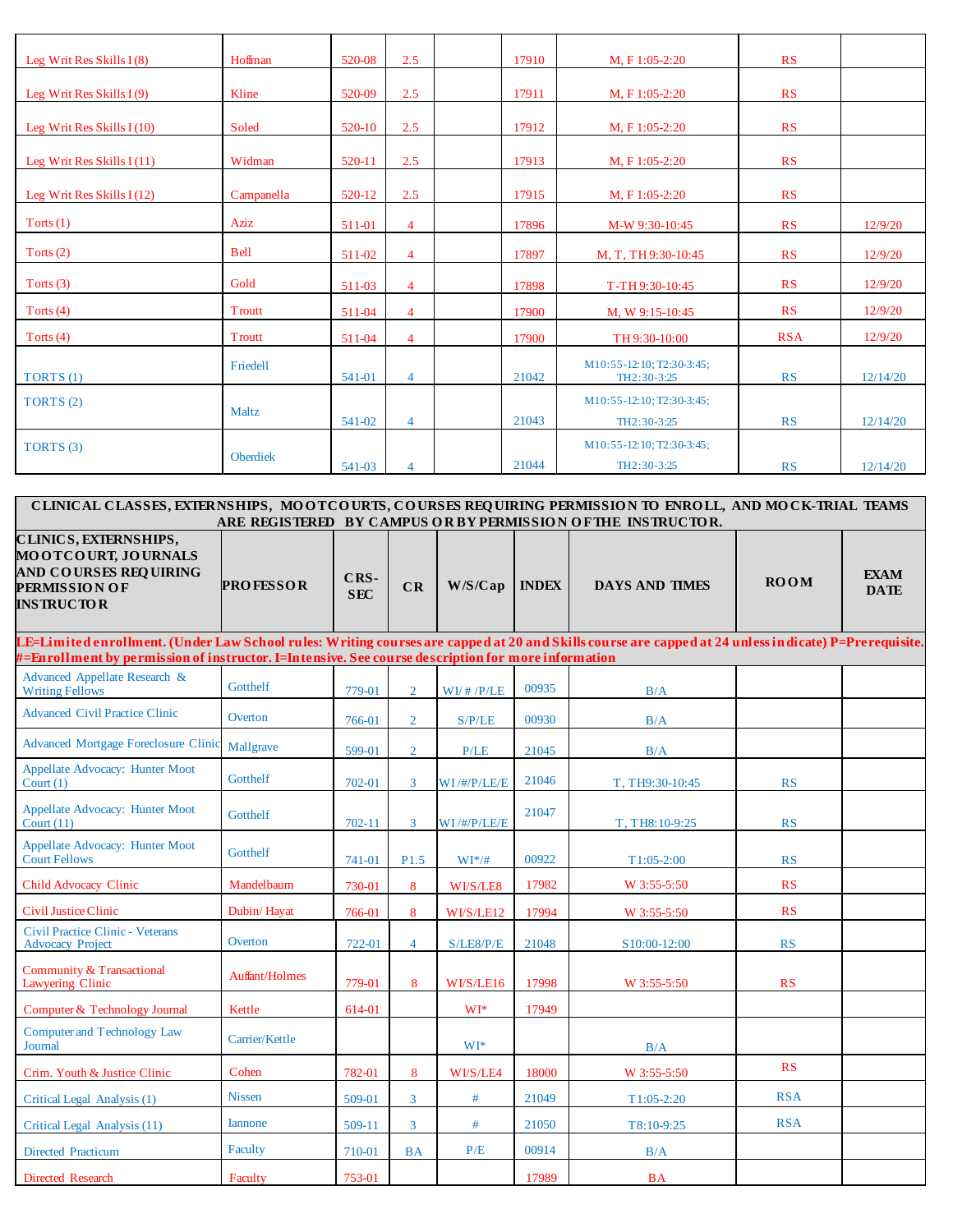| Leg Writ Res Skills $I(8)$  | Hoffman         | 520-08 | 2.5            | 17910 | M. F 1:05-2:20                           | RS         |          |
|-----------------------------|-----------------|--------|----------------|-------|------------------------------------------|------------|----------|
| Leg Writ Res Skills $I(9)$  | Kline           | 520-09 | 2.5            | 17911 | M. F 1:05-2:20                           | RS         |          |
| Leg Writ Res Skills $I(10)$ | Soled           | 520-10 | 2.5            | 17912 | $M, F1:05-2:20$                          | RS         |          |
| Leg Writ Res Skills $I(11)$ | Widman          | 520-11 | 2.5            | 17913 | $M, F1:05-2:20$                          | RS         |          |
| Leg Writ Res Skills $I(12)$ | Campanella      | 520-12 | 2.5            | 17915 | $M, F1:05-2:20$                          | RS         |          |
| Torts $(1)$                 | Aziz            | 511-01 | $\overline{4}$ | 17896 | M-W 9:30-10:45                           | RS         | 12/9/20  |
| Torts $(2)$                 | <b>Bell</b>     | 511-02 | $\overline{4}$ | 17897 | M, T, TH 9:30-10:45                      | RS         | 12/9/20  |
| Torts $(3)$                 | Gold            | 511-03 | $\overline{4}$ | 17898 | T-TH 9:30-10:45                          | RS         | 12/9/20  |
| Torts $(4)$                 | Troutt          | 511-04 | $\overline{4}$ | 17900 | M, W 9:15-10:45                          | RS         | 12/9/20  |
| Torts $(4)$                 | Troutt          | 511-04 | $\overline{4}$ | 17900 | TH 9:30-10:00                            | <b>RSA</b> | 12/9/20  |
| TORTS $(1)$                 | Friedell        | 541-01 | $\overline{4}$ | 21042 | M10:55-12:10; T2:30-3:45;<br>TH2:30-3:25 | RS         | 12/14/20 |
| TORTS (2)                   | Maltz           | 541-02 | $\overline{4}$ | 21043 | M10:55-12:10; T2:30-3:45;<br>TH2:30-3:25 | RS         | 12/14/20 |
| TORTS (3)                   | <b>Oberdiek</b> | 541-03 | $\overline{4}$ | 21044 | M10:55-12:10; T2:30-3:45;<br>TH2:30-3:25 | <b>RS</b>  | 12/14/20 |

| CLINICAL CLASSES, EXTERNSHIPS, MOOTCOURTS, COURSES REQUIRING PERMISSION TO ENROLL, AND MOCK-TRIAL TEAMS<br>ARE REGISTERED BY CAMPUS OR BY PERMISSION OF THE INSTRUCTOR.                                                                                     |                  |                    |                |                   |              |                       |             |                            |  |  |  |  |
|-------------------------------------------------------------------------------------------------------------------------------------------------------------------------------------------------------------------------------------------------------------|------------------|--------------------|----------------|-------------------|--------------|-----------------------|-------------|----------------------------|--|--|--|--|
| CLINICS, EXTERNSHIPS,<br>MOOTCOURT, JOURNALS<br><b>AND COURSES REQUIRING</b><br><b>PERMISSION OF</b><br><b>INSTRUCTOR</b>                                                                                                                                   | <b>PROFESSOR</b> | CRS-<br><b>SEC</b> | CR             | W/S/Cap           | <b>INDEX</b> | <b>DAYS AND TIMES</b> | <b>ROOM</b> | <b>EXAM</b><br><b>DATE</b> |  |  |  |  |
| LE=Limited enrollment. (Under Law School rules: Writing courses are capped at 20 and Skills course are capped at 24 unless in dicate) P=Prerequisite.<br>#=Enrollment by permission of instructor. I=Intensive. See course description for more information |                  |                    |                |                   |              |                       |             |                            |  |  |  |  |
| Advanced Appellate Research &<br><b>Writing Fellows</b>                                                                                                                                                                                                     | Gotthelf         | 779-01             | $\overline{2}$ | W I/H / P/LE      | 00935        | B/A                   |             |                            |  |  |  |  |
| <b>Advanced Civil Practice Clinic</b>                                                                                                                                                                                                                       | Overton          | 766-01             | $\overline{2}$ | S/P/LE            | 00930        | B/A                   |             |                            |  |  |  |  |
| <b>Advanced Mortgage Foreclosure Clinic</b>                                                                                                                                                                                                                 | Mallgrave        | 599-01             | $\overline{2}$ | P/LE              | 21045        | B/A                   |             |                            |  |  |  |  |
| Appellate Advocacy: Hunter Moot<br>$\text{Court}(1)$                                                                                                                                                                                                        | Gotthelf         | 702-01             | 3              | WI/#/P/LE/E       | 21046        | T, TH9:30-10:45       | <b>RS</b>   |                            |  |  |  |  |
| <b>Appellate Advocacy: Hunter Moot</b><br>Court $(11)$                                                                                                                                                                                                      | Gotthelf         | 702-11             | 3              | $WI$ /#/ $P/LE/E$ | 21047        | T, TH8:10-9:25        | <b>RS</b>   |                            |  |  |  |  |
| <b>Appellate Advocacy: Hunter Moot</b><br><b>Court Fellows</b>                                                                                                                                                                                              | Gotthelf         | 741-01             | P1.5           | $WI*/#$           | 00922        | $T1:05-2:00$          | <b>RS</b>   |                            |  |  |  |  |
| <b>Child Advocacy Clinic</b>                                                                                                                                                                                                                                | Mandelbaum       | 730-01             | 8              | WI/S/LE8          | 17982        | W 3:55-5:50           | <b>RS</b>   |                            |  |  |  |  |
| Civil Justice Clinic                                                                                                                                                                                                                                        | Dubin/Hayat      | 766-01             | 8              | WI/S/LE12         | 17994        | W 3:55-5:50           | <b>RS</b>   |                            |  |  |  |  |
| <b>Civil Practice Clinic - Veterans</b><br><b>Advocacy Project</b>                                                                                                                                                                                          | Overton          | 722-01             | $\overline{4}$ | S/LE8/P/E         | 21048        | S10:00-12:00          | <b>RS</b>   |                            |  |  |  |  |
| Community & Transactional<br>Lawyering Clinic                                                                                                                                                                                                               | Auffant/Holmes   | 779-01             | 8              | WI/S/LE16         | 17998        | W 3:55-5:50           | <b>RS</b>   |                            |  |  |  |  |
| Computer & Technology Journal                                                                                                                                                                                                                               | Kettle           | 614-01             |                | $WI^*$            | 17949        |                       |             |                            |  |  |  |  |
| <b>Computer and Technology Law</b><br>Journal                                                                                                                                                                                                               | Carrier/Kettle   |                    |                | WI <sup>*</sup>   |              | B/A                   |             |                            |  |  |  |  |
| Crim. Youth & Justice Clinic                                                                                                                                                                                                                                | Cohen            | 782-01             | 8              | WI/S/LE4          | 18000        | W 3:55-5:50           | <b>RS</b>   |                            |  |  |  |  |
| Critical Legal Analysis (1)                                                                                                                                                                                                                                 | <b>Nissen</b>    | 509-01             | $\overline{3}$ | #                 | 21049        | $T1:05-2:20$          | <b>RSA</b>  |                            |  |  |  |  |
| Critical Legal Analysis (11)                                                                                                                                                                                                                                | <b>Iannone</b>   | 509-11             | 3              | #                 | 21050        | T8:10-9:25            | <b>RSA</b>  |                            |  |  |  |  |
| <b>Directed Practicum</b>                                                                                                                                                                                                                                   | Faculty          | 710-01             | <b>BA</b>      | P/E               | 00914        | B/A                   |             |                            |  |  |  |  |
| Directed Research                                                                                                                                                                                                                                           | Faculty          | 753-01             |                |                   | 17989        | <b>BA</b>             |             |                            |  |  |  |  |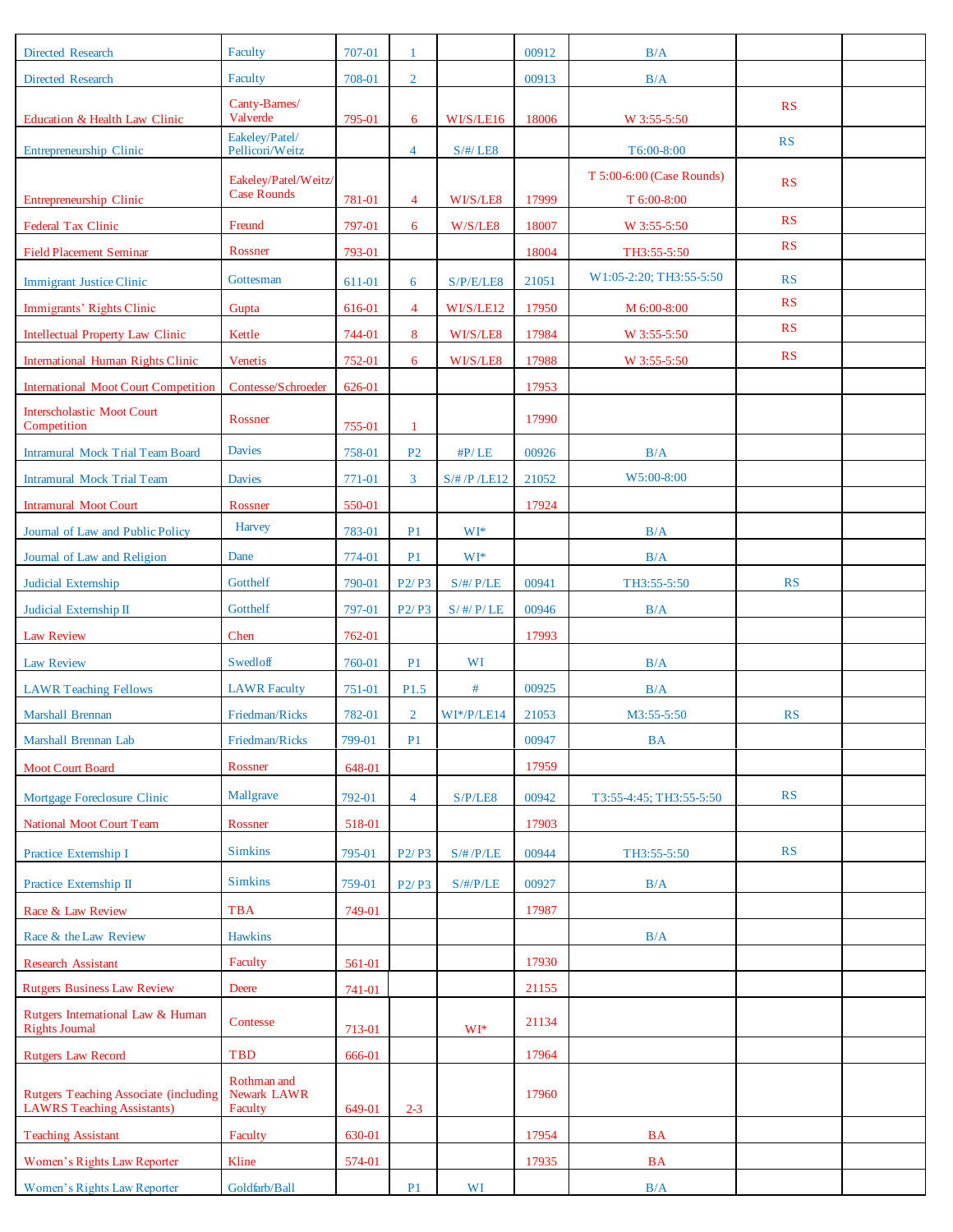| <b>Directed Research</b>                                                           | Faculty                                    | 707-01 | $\mathbf{1}$                   |                 | 00912 | B/A                                      |           |  |
|------------------------------------------------------------------------------------|--------------------------------------------|--------|--------------------------------|-----------------|-------|------------------------------------------|-----------|--|
| <b>Directed Research</b>                                                           | Faculty                                    | 708-01 | $\overline{2}$                 |                 | 00913 | B/A                                      |           |  |
| Education & Health Law Clinic                                                      | Canty-Barnes/<br>Valverde                  | 795-01 | 6                              | WI/S/LE16       | 18006 | W 3:55-5:50                              | RS        |  |
| Entrepreneurship Clinic                                                            | Eakeley/Patel/<br>Pellicori/Weitz          |        | $\overline{4}$                 | $S/\#/$ LE8     |       | T6:00-8:00                               | RS        |  |
| Entrepreneurship Clinic                                                            | Eakeley/Patel/Weitz/<br><b>Case Rounds</b> | 781-01 | $\overline{4}$                 | WI/S/LE8        | 17999 | T 5:00-6:00 (Case Rounds)<br>T 6:00-8:00 | RS        |  |
| Federal Tax Clinic                                                                 | Freund                                     | 797-01 | 6                              | W/S/LE8         | 18007 | W 3:55-5:50                              | RS        |  |
| <b>Field Placement Seminar</b>                                                     | Rossner                                    | 793-01 |                                |                 | 18004 | TH3:55-5:50                              | RS        |  |
| <b>Immigrant Justice Clinic</b>                                                    | Gottesman                                  | 611-01 | 6                              | S/P/E/LE8       | 21051 | W1:05-2:20; TH3:55-5:50                  | RS        |  |
| Immigrants' Rights Clinic                                                          | Gupta                                      | 616-01 | $\overline{4}$                 | WI/S/LE12       | 17950 | M 6:00-8:00                              | RS        |  |
| <b>Intellectual Property Law Clinic</b>                                            | Kettle                                     | 744-01 | 8                              | WI/S/LE8        | 17984 | W 3:55-5:50                              | RS        |  |
| <b>International Human Rights Clinic</b>                                           | Venetis                                    | 752-01 | 6                              | WI/S/LE8        | 17988 | W 3:55-5:50                              | RS        |  |
| <b>International Moot Court Competition</b>                                        | Contesse/Schroeder                         | 626-01 |                                |                 | 17953 |                                          |           |  |
| <b>Interscholastic Moot Court</b>                                                  |                                            |        |                                |                 |       |                                          |           |  |
| Competition                                                                        | Rossner                                    | 755-01 | $\overline{1}$                 |                 | 17990 |                                          |           |  |
| Intramural Mock Trial Team Board                                                   | <b>Davies</b>                              | 758-01 | P <sub>2</sub>                 | $\#P/LE$        | 00926 | B/A                                      |           |  |
| <b>Intramural Mock Trial Team</b>                                                  | <b>Davies</b>                              | 771-01 | $\mathbf{3}$                   | S/H/P/LE12      | 21052 | W5:00-8:00                               |           |  |
| <b>Intramural Moot Court</b>                                                       | Rossner                                    | 550-01 |                                |                 | 17924 |                                          |           |  |
| Journal of Law and Public Policy                                                   | Harvey                                     | 783-01 | P <sub>1</sub>                 | WI*             |       | B/A                                      |           |  |
| Journal of Law and Religion                                                        | Dane                                       | 774-01 | P <sub>1</sub>                 | $WI*$           |       | B/A                                      |           |  |
| Judicial Externship                                                                | Gotthelf                                   | 790-01 | P <sub>2</sub> /P <sub>3</sub> | $S/\#/$ $P/LE$  | 00941 | TH3:55-5:50                              | RS        |  |
| Judicial Externship II                                                             | Gotthelf                                   | 797-01 | P <sub>2</sub> /P <sub>3</sub> | $S/$ #/ $P/$ LE | 00946 | B/A                                      |           |  |
| <b>Law Review</b>                                                                  | Chen                                       | 762-01 |                                |                 | 17993 |                                          |           |  |
| <b>Law Review</b>                                                                  | <b>Swedloff</b>                            | 760-01 | P <sub>1</sub>                 | WI              |       | B/A                                      |           |  |
| <b>LAWR Teaching Fellows</b>                                                       | <b>LAWR Faculty</b>                        | 751-01 | P <sub>1.5</sub>               | $\#$            | 00925 | B/A                                      |           |  |
| <b>Marshall Brennan</b>                                                            | Friedman/Ricks                             | 782-01 | $\overline{2}$                 | $WI*/P/LE14$    | 21053 | M3:55-5:50                               | RS        |  |
| Marshall Brennan Lab                                                               | Friedman/Ricks                             | 799-01 | P <sub>1</sub>                 |                 | 00947 | <b>BA</b>                                |           |  |
| <b>Moot Court Board</b>                                                            | Rossner                                    | 648-01 |                                |                 | 17959 |                                          |           |  |
| Mortgage Foreclosure Clinic                                                        | Mallgrave                                  | 792-01 | $\overline{4}$                 | S/P/LE8         | 00942 | T3:55-4:45; TH3:55-5:50                  | <b>RS</b> |  |
| National Moot Court Team                                                           | Rossner                                    | 518-01 |                                |                 | 17903 |                                          |           |  |
| Practice Externship I                                                              | <b>Simkins</b>                             | 795-01 | P2/P3                          | $S/\# / P/LE$   | 00944 | TH3:55-5:50                              | RS        |  |
| Practice Externship II                                                             | <b>Simkins</b>                             | 759-01 | P2/P3                          | $S/\#/P/LE$     | 00927 | B/A                                      |           |  |
| Race & Law Review                                                                  | <b>TBA</b>                                 | 749-01 |                                |                 | 17987 |                                          |           |  |
| Race & the Law Review                                                              | <b>Hawkins</b>                             |        |                                |                 |       | B/A                                      |           |  |
| Research Assistant                                                                 | Faculty                                    | 561-01 |                                |                 | 17930 |                                          |           |  |
| <b>Rutgers Business Law Review</b>                                                 | Deere                                      | 741-01 |                                |                 | 21155 |                                          |           |  |
| Rutgers International Law & Human<br>Rights Journal                                | Contesse                                   | 713-01 |                                | $WI*$           | 21134 |                                          |           |  |
| <b>Rutgers Law Record</b>                                                          | TBD                                        | 666-01 |                                |                 | 17964 |                                          |           |  |
|                                                                                    | Rothman and                                |        |                                |                 |       |                                          |           |  |
| <b>Rutgers Teaching Associate (including</b><br><b>LAWRS Teaching Assistants</b> ) | Newark LAWR<br>Faculty                     | 649-01 | $2 - 3$                        |                 | 17960 |                                          |           |  |
| <b>Teaching Assistant</b>                                                          | Faculty                                    | 630-01 |                                |                 | 17954 | $\mathbf{BA}$                            |           |  |
| Women's Rights Law Reporter                                                        | Kline                                      | 574-01 |                                |                 | 17935 | <b>BA</b>                                |           |  |
| Women's Rights Law Reporter                                                        | Goldfarb/Ball                              |        | P <sub>1</sub>                 | WI              |       | B/A                                      |           |  |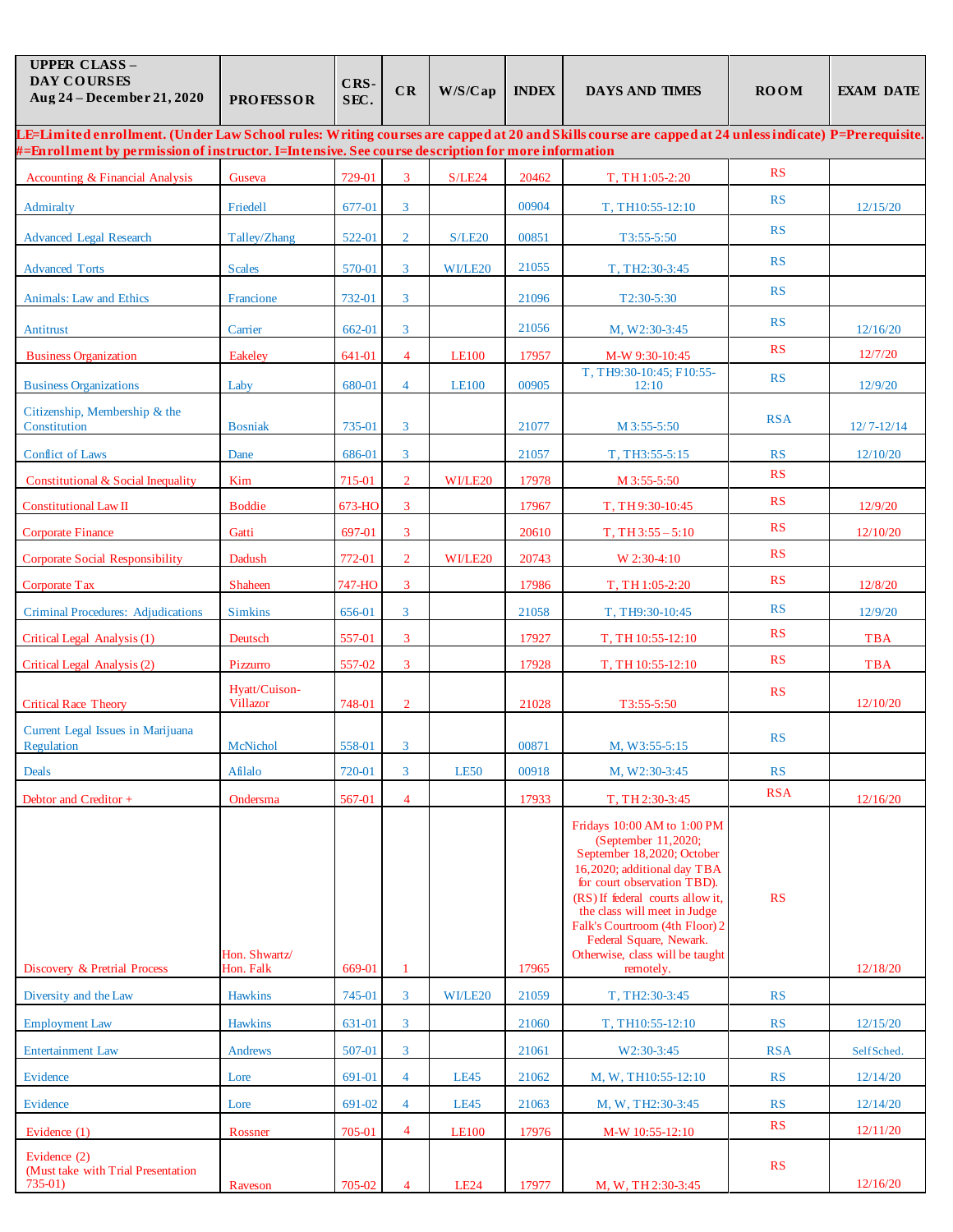| <b>UPPER CLASS-</b><br><b>DAY COURSES</b><br>Aug 24 - December 21, 2020                                                                                                                                                                                    | <b>PROFESSOR</b>                 | CRS-<br>SEC. | CR             | W/S/Cap      | <b>INDEX</b> | <b>DAYS AND TIMES</b>                                                                                                                                                                                                                                                                                                           | <b>ROOM</b> | <b>EXAM DATE</b> |
|------------------------------------------------------------------------------------------------------------------------------------------------------------------------------------------------------------------------------------------------------------|----------------------------------|--------------|----------------|--------------|--------------|---------------------------------------------------------------------------------------------------------------------------------------------------------------------------------------------------------------------------------------------------------------------------------------------------------------------------------|-------------|------------------|
| LE=Limited enrollment. (Under Law School rules: Writing courses are capped at 20 and Skills course are capped at 24 unless indicate) P=Prerequisite.<br>#=Enrollment by permission of instructor. I=Intensive. See course description for more information |                                  |              |                |              |              |                                                                                                                                                                                                                                                                                                                                 |             |                  |
| Accounting & Financial Analysis                                                                                                                                                                                                                            | Guseva                           | 729-01       | 3              | S/LE24       | 20462        | T, TH 1:05-2:20                                                                                                                                                                                                                                                                                                                 | <b>RS</b>   |                  |
| Admiralty                                                                                                                                                                                                                                                  | Friedell                         | 677-01       | $\mathbf{3}$   |              | 00904        | T, TH10:55-12:10                                                                                                                                                                                                                                                                                                                | RS          | 12/15/20         |
| <b>Advanced Legal Research</b>                                                                                                                                                                                                                             | Talley/Zhang                     | 522-01       | $\overline{2}$ | S/LE20       | 00851        | T3:55-5:50                                                                                                                                                                                                                                                                                                                      | RS          |                  |
|                                                                                                                                                                                                                                                            |                                  |              |                |              |              |                                                                                                                                                                                                                                                                                                                                 | RS          |                  |
| <b>Advanced Torts</b>                                                                                                                                                                                                                                      | <b>Scales</b>                    | 570-01       | $\mathbf{3}$   | WI/LE20      | 21055        | T, TH2:30-3:45                                                                                                                                                                                                                                                                                                                  | RS          |                  |
| Animals: Law and Ethics                                                                                                                                                                                                                                    | Francione                        | 732-01       | $\mathbf{3}$   |              | 21096        | T2:30-5:30                                                                                                                                                                                                                                                                                                                      | RS          |                  |
| Antitrust                                                                                                                                                                                                                                                  | Carrier                          | 662-01       | $\mathbf{3}$   |              | 21056        | M, W2:30-3:45                                                                                                                                                                                                                                                                                                                   | RS          | 12/16/20         |
| <b>Business Organization</b>                                                                                                                                                                                                                               | <b>Eakeley</b>                   | 641-01       | $\overline{4}$ | <b>LE100</b> | 17957        | M-W 9:30-10:45<br>T, TH9:30-10:45; F10:55-                                                                                                                                                                                                                                                                                      |             | 12/7/20          |
| <b>Business Organizations</b>                                                                                                                                                                                                                              | Laby                             | 680-01       | $\overline{4}$ | <b>LE100</b> | 00905        | 12:10                                                                                                                                                                                                                                                                                                                           | RS          | 12/9/20          |
| Citizenship, Membership & the<br>Constitution                                                                                                                                                                                                              | <b>Bosniak</b>                   | 735-01       | 3              |              | 21077        | M 3:55-5:50                                                                                                                                                                                                                                                                                                                     | <b>RSA</b>  | $12/7 - 12/14$   |
| <b>Conflict of Laws</b>                                                                                                                                                                                                                                    | Dane                             | 686-01       | 3              |              | 21057        | T, TH3:55-5:15                                                                                                                                                                                                                                                                                                                  | <b>RS</b>   | 12/10/20         |
| Constitutional & Social Inequality                                                                                                                                                                                                                         | Kim                              | 715-01       | $\overline{2}$ | WI/LE20      | 17978        | M 3:55-5:50                                                                                                                                                                                                                                                                                                                     | RS          |                  |
| <b>Constitutional Law II</b>                                                                                                                                                                                                                               | <b>Boddie</b>                    | 673-HO       | 3              |              | 17967        | T, TH9:30-10:45                                                                                                                                                                                                                                                                                                                 | <b>RS</b>   | 12/9/20          |
| <b>Corporate Finance</b>                                                                                                                                                                                                                                   | Gatti                            | 697-01       | 3              |              | 20610        | $T, TH3:55 - 5:10$                                                                                                                                                                                                                                                                                                              | <b>RS</b>   | 12/10/20         |
| Corporate Social Responsibility                                                                                                                                                                                                                            | Dadush                           | 772-01       | $\overline{2}$ | WI/LE20      | 20743        | W 2:30-4:10                                                                                                                                                                                                                                                                                                                     | RS          |                  |
| Corporate Tax                                                                                                                                                                                                                                              | <b>Shaheen</b>                   | 747-HO       | 3              |              | 17986        | T, TH 1:05-2:20                                                                                                                                                                                                                                                                                                                 | <b>RS</b>   | 12/8/20          |
| Criminal Procedures: Adjudications                                                                                                                                                                                                                         | <b>Simkins</b>                   | 656-01       | 3              |              | 21058        | T, TH9:30-10:45                                                                                                                                                                                                                                                                                                                 | RS          | 12/9/20          |
| Critical Legal Analysis (1)                                                                                                                                                                                                                                | Deutsch                          | 557-01       | $\mathbf{3}$   |              | 17927        | T, TH 10:55-12:10                                                                                                                                                                                                                                                                                                               | RS          | <b>TBA</b>       |
| Critical Legal Analysis (2)                                                                                                                                                                                                                                | Pizzurro                         | 557-02       | 3              |              | 17928        | T, TH 10:55-12:10                                                                                                                                                                                                                                                                                                               | RS          | <b>TBA</b>       |
| <b>Critical Race Theory</b>                                                                                                                                                                                                                                | Hyatt/Cuison-<br><b>Villazor</b> | 748-01       | $\overline{2}$ |              | 21028        | T3:55-5:50                                                                                                                                                                                                                                                                                                                      | <b>RS</b>   | 12/10/20         |
| Current Legal Issues in Marijuana<br>Regulation                                                                                                                                                                                                            | McNichol                         | 558-01       | 3              |              | 00871        | M. W3:55-5:15                                                                                                                                                                                                                                                                                                                   | RS          |                  |
| Deals                                                                                                                                                                                                                                                      | Afilalo                          | 720-01       | $\mathbf{3}$   | LE50         | 00918        | M, W2:30-3:45                                                                                                                                                                                                                                                                                                                   | RS          |                  |
| Debtor and Creditor +                                                                                                                                                                                                                                      | Ondersma                         | 567-01       | $\overline{4}$ |              | 17933        | T, TH 2:30-3:45                                                                                                                                                                                                                                                                                                                 | <b>RSA</b>  | 12/16/20         |
| Discovery & Pretrial Process                                                                                                                                                                                                                               | Hon. Shwartz/<br>Hon. Falk       | 669-01       | 1              |              | 17965        | Fridays 10:00 AM to 1:00 PM<br>(September 11,2020;<br>September 18,2020; October<br>16,2020; additional day TBA<br>for court observation TBD).<br>(RS) If federal courts allow it,<br>the class will meet in Judge<br>Falk's Courtroom (4th Floor) 2<br>Federal Square, Newark.<br>Otherwise, class will be taught<br>remotely. | RS          | 12/18/20         |
| Diversity and the Law                                                                                                                                                                                                                                      | <b>Hawkins</b>                   | 745-01       | 3              | WI/LE20      | 21059        | T, TH2:30-3:45                                                                                                                                                                                                                                                                                                                  | RS          |                  |
| <b>Employment Law</b>                                                                                                                                                                                                                                      | <b>Hawkins</b>                   | 631-01       | 3 <sup>7</sup> |              | 21060        | T, TH10:55-12:10                                                                                                                                                                                                                                                                                                                | RS          | 12/15/20         |
| <b>Entertainment Law</b>                                                                                                                                                                                                                                   | Andrews                          | 507-01       | $\overline{3}$ |              | 21061        | W2:30-3:45                                                                                                                                                                                                                                                                                                                      | <b>RSA</b>  | Self Sched.      |
| Evidence                                                                                                                                                                                                                                                   | Lore                             | 691-01       | $\overline{4}$ | <b>LE45</b>  | 21062        | M, W, TH10:55-12:10                                                                                                                                                                                                                                                                                                             | RS          | 12/14/20         |
| Evidence                                                                                                                                                                                                                                                   | Lore                             | 691-02       | $\overline{4}$ | <b>LE45</b>  | 21063        | M, W, TH2:30-3:45                                                                                                                                                                                                                                                                                                               | RS          | 12/14/20         |
| Evidence (1)                                                                                                                                                                                                                                               | Rossner                          | 705-01       | $\overline{4}$ | <b>LE100</b> | 17976        | M-W 10:55-12:10                                                                                                                                                                                                                                                                                                                 | RS          | 12/11/20         |
| Evidence (2)<br>(Must take with Trial Presentation<br>$735-01$ )                                                                                                                                                                                           | Raveson                          | 705-02       | $\overline{4}$ | <b>LE24</b>  | 17977        | M, W, TH 2:30-3:45                                                                                                                                                                                                                                                                                                              | RS          | 12/16/20         |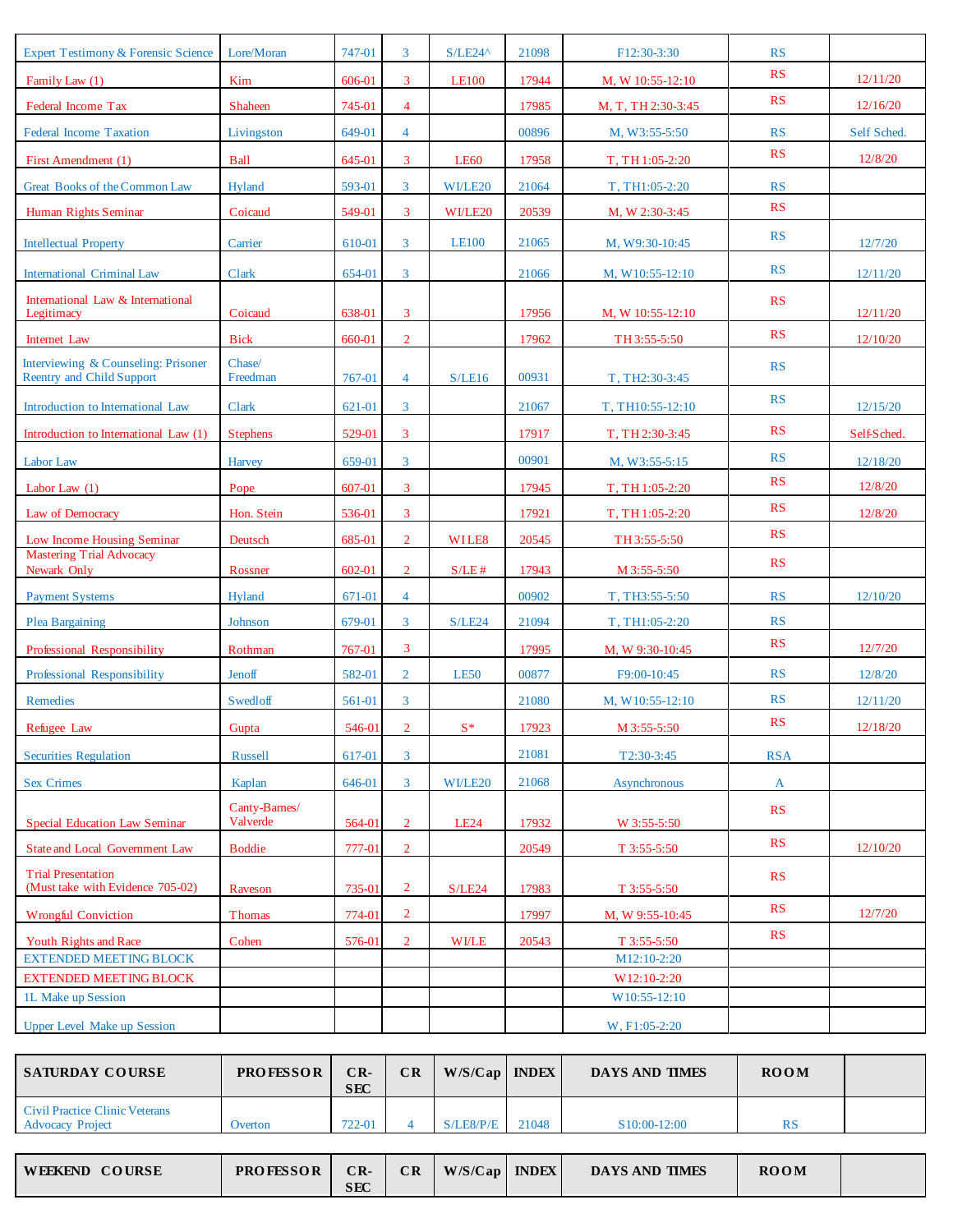| <b>Expert Testimony &amp; Forensic Science</b>  | Lore/Moran                | 747-01 | 3              | $S/LE24^{\wedge}$ | 21098 | F12:30-3:30         | RS         |             |
|-------------------------------------------------|---------------------------|--------|----------------|-------------------|-------|---------------------|------------|-------------|
| Family Law (1)                                  | Kim                       | 606-01 | 3              | <b>LE100</b>      | 17944 | M, W 10:55-12:10    | RS         | 12/11/20    |
| Federal Income Tax                              | Shaheen                   | 745-01 | $\overline{4}$ |                   | 17985 | M, T, TH 2:30-3:45  | <b>RS</b>  | 12/16/20    |
| <b>Federal Income Taxation</b>                  | Livingston                | 649-01 | $\overline{4}$ |                   | 00896 | M, W3:55-5:50       | RS         | Self Sched. |
| First Amendment (1)                             | <b>Ball</b>               | 645-01 | 3              | <b>LE60</b>       | 17958 | T, TH 1:05-2:20     | RS         | 12/8/20     |
| Great Books of the Common Law                   | Hyland                    | 593-01 | $\mathbf{3}$   | WI/LE20           | 21064 | T, TH1:05-2:20      | RS         |             |
| Human Rights Seminar                            | Coicaud                   | 549-01 | 3              | WI/LE20           | 20539 | M, W 2:30-3:45      | RS         |             |
| <b>Intellectual Property</b>                    | Carrier                   | 610-01 | 3              | <b>LE100</b>      | 21065 | M, W9:30-10:45      | RS         | 12/7/20     |
| <b>International Criminal Law</b>               | Clark                     | 654-01 | $\mathbf{3}$   |                   | 21066 | M, W10:55-12:10     | RS         | 12/11/20    |
| International Law & International<br>Legitimacy | Coicaud                   | 638-01 | 3              |                   | 17956 | M, W 10:55-12:10    | <b>RS</b>  | 12/11/20    |
| Internet Law                                    | <b>Bick</b>               | 660-01 | $\overline{2}$ |                   | 17962 | TH 3:55-5:50        | RS         | 12/10/20    |
| Interviewing & Counseling: Prisoner             | Chase/                    |        |                |                   |       |                     | RS         |             |
| <b>Reentry and Child Support</b>                | Freedman                  | 767-01 | $\overline{4}$ | S/LE16            | 00931 | T, TH2:30-3:45      | <b>RS</b>  |             |
| Introduction to International Law               | Clark                     | 621-01 | $\mathbf{3}$   |                   | 21067 | T, TH10:55-12:10    |            | 12/15/20    |
| Introduction to International Law (1)           | <b>Stephens</b>           | 529-01 | 3              |                   | 17917 | T, TH 2:30-3:45     | RS         | Self-Sched  |
| Labor Law                                       | <b>Harvey</b>             | 659-01 | $\mathbf{3}$   |                   | 00901 | M, W3:55-5:15       | RS         | 12/18/20    |
| Labor Law $(1)$                                 | Pope                      | 607-01 | $\overline{3}$ |                   | 17945 | T, TH 1:05-2:20     | RS         | 12/8/20     |
| Law of Democracy                                | Hon. Stein                | 536-01 | 3              |                   | 17921 | T, TH 1:05-2:20     | RS         | 12/8/20     |
| Low Income Housing Seminar                      | Deutsch                   | 685-01 | $\overline{2}$ | WILE8             | 20545 | TH 3:55-5:50        | RS         |             |
| <b>Mastering Trial Advocacy</b><br>Newark Only  | Rossner                   | 602-01 | $\overline{2}$ | $S/LE$ #          | 17943 | M 3:55-5:50         | RS         |             |
| <b>Payment Systems</b>                          | Hyland                    | 671-01 | $\overline{4}$ |                   | 00902 | T, TH3:55-5:50      | RS         | 12/10/20    |
| Plea Bargaining                                 | Johnson                   | 679-01 | 3 <sup>1</sup> | S/LE24            | 21094 | T, TH1:05-2:20      | RS         |             |
| Professional Responsibility                     | Rothman                   | 767-01 | $\overline{3}$ |                   | 17995 | M, W 9:30-10:45     | RS         | 12/7/20     |
| Professional Responsibility                     | Jenoff                    | 582-01 | $\overline{2}$ | <b>LE50</b>       | 00877 | F9:00-10:45         | RS         | 12/8/20     |
| Remedies                                        | <b>Swedloff</b>           | 561-01 | $\mathbf{3}$   |                   | 21080 | M, W10:55-12:10     | <b>RS</b>  | 12/11/20    |
| Refugee Law                                     | Gupta                     | 546-01 | $\overline{2}$ | $S^*$             | 17923 | M 3:55-5:50         | RS         | 12/18/20    |
| <b>Securities Regulation</b>                    | <b>Russell</b>            | 617-01 | 3              |                   | 21081 | T2:30-3:45          | <b>RSA</b> |             |
| <b>Sex Crimes</b>                               | Kaplan                    | 646-01 | $\overline{3}$ | WI/LE20           | 21068 | <b>Asynchronous</b> | A          |             |
| <b>Special Education Law Seminar</b>            | Canty-Barnes/<br>Valverde | 564-01 | $\overline{2}$ | <b>LE24</b>       | 17932 | W 3:55-5:50         | RS         |             |
| <b>State and Local Government Law</b>           | <b>Boddie</b>             | 777-01 | $\overline{2}$ |                   | 20549 | T 3:55-5:50         | RS         | 12/10/20    |
| <b>Trial Presentation</b>                       |                           |        |                |                   |       |                     | RS         |             |
| (Must take with Evidence 705-02)                | Raveson                   | 735-01 | $\overline{2}$ | S/LE24            | 17983 | $T$ 3:55-5:50       |            |             |
| <b>Wrongful Conviction</b>                      | Thomas                    | 774-01 | $\overline{2}$ |                   | 17997 | M, W 9:55-10:45     | RS         | 12/7/20     |
| Youth Rights and Race                           | Cohen                     | 576-01 | $\overline{2}$ | WI/LE             | 20543 | $T$ 3:55-5:50       | RS         |             |
| <b>EXTENDED MEETING BLOCK</b>                   |                           |        |                |                   |       | M12:10-2:20         |            |             |
| <b>EXTENDED MEETING BLOCK</b>                   |                           |        |                |                   |       | W12:10-2:20         |            |             |
| 1L Make up Session                              |                           |        |                |                   |       | W10:55-12:10        |            |             |
| <b>Upper Level Make up Session</b>              |                           |        |                |                   |       | W, F1:05-2:20       |            |             |

| <b>SATURDAY COURSE</b>                                    | <b>PROFESSOR</b> | $CR-$<br><b>SEC</b> | CR | $W/S/Cap$   INDEX |       | <b>DAYS AND TIMES</b>     | <b>ROOM</b> |  |
|-----------------------------------------------------------|------------------|---------------------|----|-------------------|-------|---------------------------|-------------|--|
| Civil Practice Clinic Veterans<br><b>Advocacy Project</b> | Overton          | 722-01              |    | S/LE8/P/E         | 21048 | S <sub>10</sub> :00-12:00 | RS          |  |

| <b>COURSE</b><br><b>WEEKEND</b> | <b>PROFESSOR</b> | $CR-$<br><b>SEC</b> | $\overline{\text{CR}}$ | W/S/Cap | <b>INDEX</b> | <b>DAYS AND TIMES</b> | <b>ROOM</b> |  |
|---------------------------------|------------------|---------------------|------------------------|---------|--------------|-----------------------|-------------|--|
|---------------------------------|------------------|---------------------|------------------------|---------|--------------|-----------------------|-------------|--|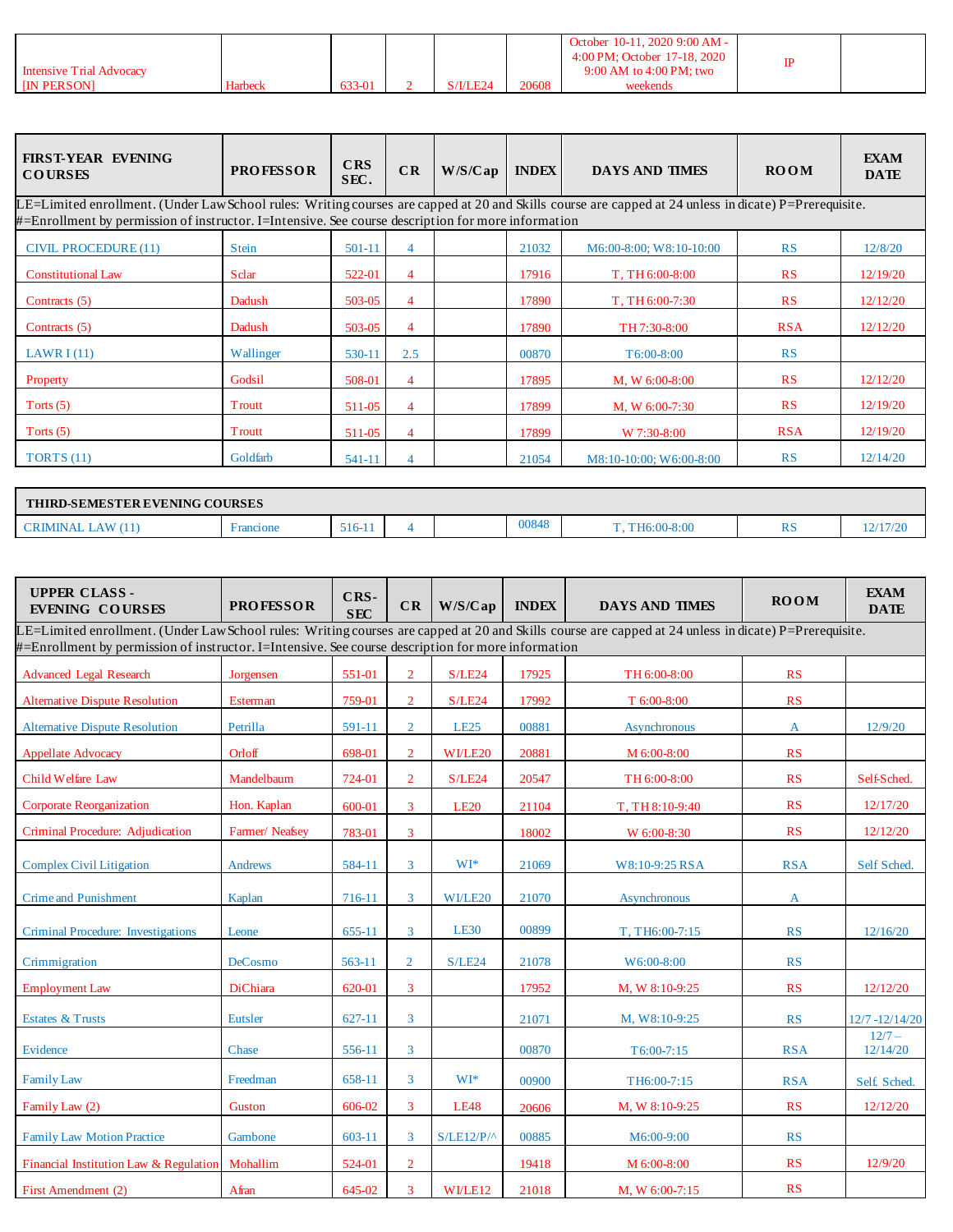|                                 |         |        |                                  |       | October 10-11, 2020 9:00 AM -<br>4:00 PM; October 17-18, 2020 |  |
|---------------------------------|---------|--------|----------------------------------|-------|---------------------------------------------------------------|--|
| <b>Intensive Trial Advocacy</b> |         |        |                                  |       | 9:00 AM to 4:00 PM; two                                       |  |
| <b>IIN PERSON</b>               | Harbeck | 633-01 | S/ <sub>1</sub> / <sub>LE2</sub> | 20608 |                                                               |  |

| <b>FIRST-YEAR EVENING</b><br><b>COURSES</b>                                                                                                                                                                                                                 | <b>PROFESSOR</b> | CRS<br>SEC. | CR             | W/S/Cap | <b>INDEX</b> | <b>DAYS AND TIMES</b>   | <b>ROOM</b> | <b>EXAM</b><br><b>DATE</b> |  |  |
|-------------------------------------------------------------------------------------------------------------------------------------------------------------------------------------------------------------------------------------------------------------|------------------|-------------|----------------|---------|--------------|-------------------------|-------------|----------------------------|--|--|
| LE=Limited enrollment. (Under Law School rules: Writing courses are capped at 20 and Skills course are capped at 24 unless in dicate) P=Prerequisite.<br>#=Enrollment by permission of instructor. I=Intensive. See course description for more information |                  |             |                |         |              |                         |             |                            |  |  |
| <b>CIVIL PROCEDURE (11)</b>                                                                                                                                                                                                                                 | <b>Stein</b>     | 501-11      | $\overline{4}$ |         | 21032        | M6:00-8:00; W8:10-10:00 | <b>RS</b>   | 12/8/20                    |  |  |
| <b>Constitutional Law</b>                                                                                                                                                                                                                                   | Sclar            | 522-01      | $\overline{4}$ |         | 17916        | T, TH 6:00-8:00         | RS          | 12/19/20                   |  |  |
| Contracts (5)                                                                                                                                                                                                                                               | Dadush           | 503-05      | $\overline{4}$ |         | 17890        | T, TH 6:00-7:30         | RS          | 12/12/20                   |  |  |
| Contracts (5)                                                                                                                                                                                                                                               | Dadush           | 503-05      | $\overline{4}$ |         | 17890        | TH 7:30-8:00            | <b>RSA</b>  | 12/12/20                   |  |  |
| LAWR $I(11)$                                                                                                                                                                                                                                                | Wallinger        | 530-11      | 2.5            |         | 00870        | $T6:00-8:00$            | RS          |                            |  |  |
| Property                                                                                                                                                                                                                                                    | Godsil           | 508-01      | $\overline{4}$ |         | 17895        | M, W 6:00-8:00          | RS          | 12/12/20                   |  |  |
| Torts $(5)$                                                                                                                                                                                                                                                 | Troutt           | 511-05      | $\overline{4}$ |         | 17899        | M, W $6:00-7:30$        | RS          | 12/19/20                   |  |  |
| Torts $(5)$                                                                                                                                                                                                                                                 | Troutt           | 511-05      | $\overline{4}$ |         | 17899        | W 7:30-8:00             | <b>RSA</b>  | 12/19/20                   |  |  |
| TORTS $(11)$                                                                                                                                                                                                                                                | Goldfarb         | 541-11      | $\overline{4}$ |         | 21054        | M8:10-10:00: W6:00-8:00 | RS          | 12/14/20                   |  |  |
|                                                                                                                                                                                                                                                             |                  |             |                |         |              |                         |             |                            |  |  |

|   | <b>THIRD-SEMESTER EVENING COURSES</b> |        |  |  |       |                      |                      |                            |  |  |  |
|---|---------------------------------------|--------|--|--|-------|----------------------|----------------------|----------------------------|--|--|--|
| . | <i>rancione</i>                       | 516-11 |  |  | 00848 | 8:00<br>TH6:00-<br>m | D <sub>s</sub><br>n. | 12/17/20<br>. 21 1 1 1 2 1 |  |  |  |

| <b>UPPER CLASS-</b><br><b>EVENING COURSES</b>                                                                                                                                                                                                               | <b>PROFESSOR</b> | CRS-<br><b>SEC</b> | CR             | W/S/Cap      | <b>INDEX</b> | <b>DAYS AND TIMES</b> | <b>ROOM</b> | <b>EXAM</b><br><b>DATE</b> |
|-------------------------------------------------------------------------------------------------------------------------------------------------------------------------------------------------------------------------------------------------------------|------------------|--------------------|----------------|--------------|--------------|-----------------------|-------------|----------------------------|
| LE=Limited enrollment. (Under Law School rules: Writing courses are capped at 20 and Skills course are capped at 24 unless in dicate) P=Prerequisite.<br>#=Enrollment by permission of instructor. I=Intensive. See course description for more information |                  |                    |                |              |              |                       |             |                            |
| <b>Advanced Legal Research</b>                                                                                                                                                                                                                              | Jorgensen        | 551-01             | $\overline{2}$ | S/LE24       | 17925        | TH 6:00-8:00          | RS          |                            |
| <b>Alternative Dispute Resolution</b>                                                                                                                                                                                                                       | Esterman         | 759-01             | $\overline{2}$ | S/LE24       | 17992        | T 6:00-8:00           | RS          |                            |
| <b>Alternative Dispute Resolution</b>                                                                                                                                                                                                                       | Petrilla         | 591-11             | $\overline{2}$ | <b>LE25</b>  | 00881        | Asynchronous          | A           | 12/9/20                    |
| <b>Appellate Advocacy</b>                                                                                                                                                                                                                                   | Orloff           | 698-01             | $\overline{2}$ | WI/LE20      | 20881        | M 6:00-8:00           | RS          |                            |
| Child Welfare Law                                                                                                                                                                                                                                           | Mandelbaum       | 724-01             | $\overline{2}$ | S/LE24       | 20547        | TH 6:00-8:00          | RS          | Self-Sched.                |
| <b>Corporate Reorganization</b>                                                                                                                                                                                                                             | Hon. Kaplan      | 600-01             | 3              | <b>LE20</b>  | 21104        | T, TH 8:10-9:40       | RS          | 12/17/20                   |
| Criminal Procedure: Adjudication                                                                                                                                                                                                                            | Farmer/Neafsey   | 783-01             | 3              |              | 18002        | W 6:00-8:30           | RS          | 12/12/20                   |
| <b>Complex Civil Litigation</b>                                                                                                                                                                                                                             | <b>Andrews</b>   | 584-11             | 3              | WI*          | 21069        | W8:10-9:25 RSA        | <b>RSA</b>  | Self Sched.                |
| <b>Crime and Punishment</b>                                                                                                                                                                                                                                 | Kaplan           | 716-11             | 3              | WI/LE20      | 21070        | Asynchronous          | A           |                            |
| Criminal Procedure: Investigations                                                                                                                                                                                                                          | Leone            | 655-11             | 3              | <b>LE30</b>  | 00899        | T, TH6:00-7:15        | RS          | 12/16/20                   |
| Crimmigration                                                                                                                                                                                                                                               | DeCosmo          | 563-11             | $\overline{2}$ | S/LE24       | 21078        | W6:00-8:00            | RS          |                            |
| <b>Employment Law</b>                                                                                                                                                                                                                                       | DiChiara         | 620-01             | 3              |              | 17952        | M, W 8:10-9:25        | RS          | 12/12/20                   |
| <b>Estates &amp; Trusts</b>                                                                                                                                                                                                                                 | Eutsler          | $627 - 11$         | $\overline{3}$ |              | 21071        | M, W8:10-9:25         | RS          | $12/7 - 12/14/20$          |
| Evidence                                                                                                                                                                                                                                                    | Chase            | 556-11             | 3              |              | 00870        | $T6:00-7:15$          | <b>RSA</b>  | $12/7 -$<br>12/14/20       |
| <b>Family Law</b>                                                                                                                                                                                                                                           | Freedman         | 658-11             | 3              | $WI*$        | 00900        | TH6:00-7:15           | <b>RSA</b>  | Self. Sched.               |
| Family Law (2)                                                                                                                                                                                                                                              | Guston           | 606-02             | $\overline{3}$ | <b>LE48</b>  | 20606        | M, W 8:10-9:25        | RS          | 12/12/20                   |
| <b>Family Law Motion Practice</b>                                                                                                                                                                                                                           | Gambone          | 603-11             | 3              | $S/LE12/P/^$ | 00885        | M6:00-9:00            | RS          |                            |
| Financial Institution Law & Regulation                                                                                                                                                                                                                      | Mohallim         | 524-01             | $\overline{2}$ |              | 19418        | M 6:00-8:00           | RS          | 12/9/20                    |
| First Amendment (2)                                                                                                                                                                                                                                         | Afran            | 645-02             | 3              | WI/LE12      | 21018        | M, W 6:00-7:15        | RS          |                            |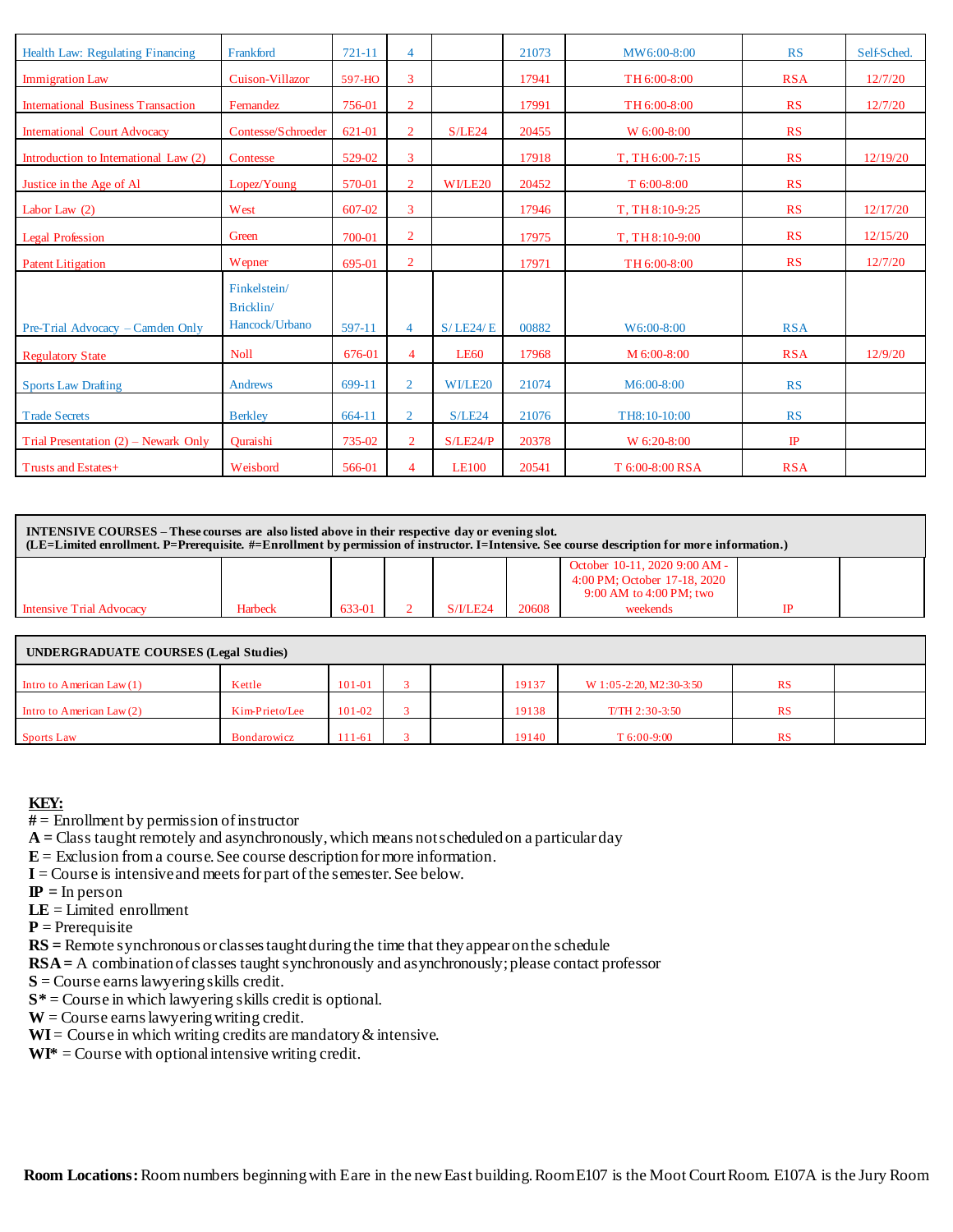| Health Law: Regulating Financing          | Frankford          | 721-11 | $\overline{4}$ |              | 21073 | MW6:00-8:00     | <b>RS</b>   | Self-Sched. |
|-------------------------------------------|--------------------|--------|----------------|--------------|-------|-----------------|-------------|-------------|
| <b>Immigration Law</b>                    | Cuison-Villazor    | 597-HO | 3              |              | 17941 | TH 6:00-8:00    | <b>RSA</b>  | 12/7/20     |
| <b>International Business Transaction</b> | Fernandez          | 756-01 | $\overline{2}$ |              | 17991 | TH 6:00-8:00    | RS          | 12/7/20     |
| <b>International Court Advocacy</b>       | Contesse/Schroeder | 621-01 | $\overline{2}$ | S/LE24       | 20455 | W 6:00-8:00     | RS          |             |
| Introduction to International Law (2)     | Contesse           | 529-02 | 3              |              | 17918 | T, TH 6:00-7:15 | RS          | 12/19/20    |
| Justice in the Age of Al                  | Lopez/Young        | 570-01 | $\overline{2}$ | WI/LE20      | 20452 | $T$ 6:00-8:00   | RS          |             |
| Labor Law $(2)$                           | West               | 607-02 | 3              |              | 17946 | T, TH 8:10-9:25 | RS          | 12/17/20    |
| <b>Legal Profession</b>                   | Green              | 700-01 | $\overline{2}$ |              | 17975 | T, TH 8:10-9:00 | RS          | 12/15/20    |
| <b>Patent Litigation</b>                  | Wepner             | 695-01 | $\overline{2}$ |              | 17971 | TH 6:00-8:00    | RS          | 12/7/20     |
|                                           | Finkelstein/       |        |                |              |       |                 |             |             |
|                                           | Bricklin/          |        |                |              |       |                 |             |             |
| Pre-Trial Advocacy – Camden Only          | Hancock/Urbano     | 597-11 | 4              | S/LE24/E     | 00882 | W6:00-8:00      | <b>RSA</b>  |             |
| <b>Regulatory State</b>                   | <b>Noll</b>        | 676-01 | 4              | <b>LE60</b>  | 17968 | M 6:00-8:00     | <b>RSA</b>  | 12/9/20     |
| <b>Sports Law Drafting</b>                | <b>Andrews</b>     | 699-11 | $\overline{2}$ | WI/LE20      | 21074 | M6:00-8:00      | RS          |             |
| <b>Trade Secrets</b>                      | <b>Berkley</b>     | 664-11 | $\overline{2}$ | S/LE24       | 21076 | TH8:10-10:00    | <b>RS</b>   |             |
| Trial Presentation $(2)$ – Newark Only    | Ouraishi           | 735-02 | $\overline{2}$ | S/LE24/P     | 20378 | W 6:20-8:00     | $_{\rm IP}$ |             |
| Trusts and Estates+                       | Weisbord           | 566-01 | 4              | <b>LE100</b> | 20541 | T 6:00-8:00 RSA | <b>RSA</b>  |             |

**INTENSIVE COURSES – These courses are also listed above in their respective day or evening slot. (LE=Limited enrollment. P=Prerequisite. #=Enrollment by permission of instructor. I=Intensive. See course description for more information.)**

|                          |         |        |          |       | October 10-11, 2020 9:00 AM -<br>4:00 PM; October 17-18, 2020<br>9:00 AM to 4:00 PM; two |    |  |
|--------------------------|---------|--------|----------|-------|------------------------------------------------------------------------------------------|----|--|
| Intensive Trial Advocacy | Harbeck | 633-01 | S/I/LE24 | 20608 | weekends                                                                                 | TD |  |

| <b>UNDERGRADUATE COURSES (Legal Studies)</b> |                    |            |  |  |       |                         |           |  |  |
|----------------------------------------------|--------------------|------------|--|--|-------|-------------------------|-----------|--|--|
| Intro to American Law $(1)$                  | Kettle             | $101 - 01$ |  |  | 19137 | W 1:05-2:20, M2:30-3:50 | <b>RS</b> |  |  |
| Intro to American Law $(2)$                  | Kim-Prieto/Lee     | $101 - 02$ |  |  | 19138 | $T/TH$ 2:30-3:50        | <b>RS</b> |  |  |
| <b>Sports Law</b>                            | <b>Bondarowicz</b> | $11 - 61$  |  |  | 19140 | $T_{6:00-9:00}$         | <b>RS</b> |  |  |

### **KEY:**

**#** = Enrollment by permission of instructor

**A =** Class taught remotely and asynchronously, which means not scheduled on a particular day

 $E =$  Exclusion from a course. See course description for more information.

 $I = Course$  is intensive and meets for part of the semester. See below.

 **= In person** 

**LE** = Limited enrollment

 $P =$ Prerequisite

**RS =** Remote synchronous or classes taught during the time that they appear on the schedule

**RSA =** A combination of classes taught synchronously and asynchronously; please contact professor

**S** = Course earns lawyering skills credit.

**S\*** = Course in which lawyering skills credit is optional.

 $W =$  Course earns lawyering writing credit.

 $WI = Course$  in which writing credits are mandatory  $&$  intensive.

 $WI^* =$  Course with optional intensive writing credit.